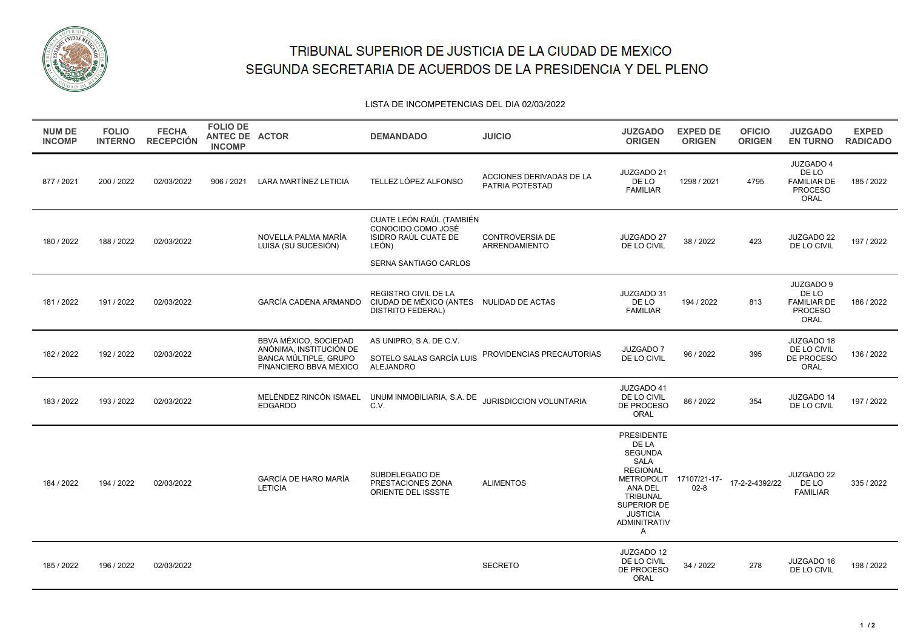

## TRIBUNAL SUPERIOR DE JUSTICIA DE LA CIUDAD DE MEXICO SEGUNDA SECRETARIA DE ACUERDOS DE LA PRESIDENCIA Y DEL PLENO

## LISTA DE INCOMPETENCIAS DEL DIA 02/03/2022

| <b>NUM DE</b><br><b>INCOMP</b> | <b>FOLIO</b><br><b>INTERNO</b> | <b>FECHA</b><br><b>RECEPCIÓN</b> | <b>FOLIO DE</b><br>ANTEC DE ACTOR<br><b>INCOMP</b> |                                                                                                            | <b>DEMANDADO</b>                                                                                         | <b>JUICIO</b>                               | <b>JUZGADO</b><br><b>ORIGEN</b>                                                                                                                                                                                  | <b>EXPED DE</b><br><b>ORIGEN</b> | <b>OFICIO</b><br><b>ORIGEN</b> | <b>JUZGADO</b><br><b>EN TURNO</b>                                  | <b>EXPED</b><br><b>RADICADO</b> |
|--------------------------------|--------------------------------|----------------------------------|----------------------------------------------------|------------------------------------------------------------------------------------------------------------|----------------------------------------------------------------------------------------------------------|---------------------------------------------|------------------------------------------------------------------------------------------------------------------------------------------------------------------------------------------------------------------|----------------------------------|--------------------------------|--------------------------------------------------------------------|---------------------------------|
| 877 / 2021                     | 200 / 2022                     | 02/03/2022                       | 906 / 2021                                         | <b>LARA MARTÍNEZ LETICIA</b>                                                                               | TELLEZ LÓPEZ ALFONSO                                                                                     | ACCIONES DERIVADAS DE LA<br>PATRIA POTESTAD | JUZGADO 21<br>DE LO<br><b>FAMILIAR</b>                                                                                                                                                                           | 1298 / 2021                      | 4795                           | JUZGADO 4<br>DE LO<br><b>FAMILIAR DE</b><br><b>PROCESO</b><br>ORAL | 185 / 2022                      |
| 180 / 2022                     | 188 / 2022                     | 02/03/2022                       |                                                    | NOVELLA PALMA MARÍA<br>LUISA (SU SUCESIÓN)                                                                 | CUATE LEÓN RAÚL (TAMBIÉN<br>CONOCIDO COMO JOSÉ<br>ISIDRO RAÚL CUATE DE<br>LEÓN)<br>SERNA SANTIAGO CARLOS | <b>CONTROVERSIA DE</b><br>ARRENDAMIENTO     | JUZGADO 27<br>DE LO CIVIL                                                                                                                                                                                        | 38/2022                          | 423                            | JUZGADO 22<br>DE LO CIVIL                                          | 197 / 2022                      |
| 181 / 2022                     | 191 / 2022                     | 02/03/2022                       |                                                    | GARCÍA CADENA ARMANDO                                                                                      | <b>REGISTRO CIVIL DE LA</b><br>CIUDAD DE MÉXICO (ANTES NULIDAD DE ACTAS<br><b>DISTRITO FEDERAL)</b>      |                                             | JUZGADO 31<br>DE LO<br><b>FAMILIAR</b>                                                                                                                                                                           | 194 / 2022                       | 813                            | JUZGADO 9<br>DE LO<br><b>FAMILIAR DE</b><br><b>PROCESO</b><br>ORAL | 186 / 2022                      |
| 182 / 2022                     | 192/2022                       | 02/03/2022                       |                                                    | <b>BBVA MÉXICO, SOCIEDAD</b><br>ANÓNIMA, INSTITUCIÓN DE<br>BANCA MÚLTIPLE, GRUPO<br>FINANCIERO BBVA MÉXICO | AS UNIPRO, S.A. DE C.V.<br>SOTELO SALAS GARCÍA LUIS<br><b>ALEJANDRO</b>                                  | PROVIDENCIAS PRECAUTORIAS                   | JUZGADO 7<br>DE LO CIVIL                                                                                                                                                                                         | 96 / 2022                        | 395                            | JUZGADO 18<br>DE LO CIVIL<br>DE PROCESO<br>ORAL                    | 136 / 2022                      |
| 183 / 2022                     | 193 / 2022                     | 02/03/2022                       |                                                    | MELÉNDEZ RINCÓN ISMAEL<br><b>EDGARDO</b>                                                                   | UNUM INMOBILIARIA, S.A. DE<br>C.V.                                                                       | JURISDICCION VOLUNTARIA                     | JUZGADO 41<br>DE LO CIVIL<br>DE PROCESO<br>ORAL                                                                                                                                                                  | 86 / 2022                        | 354                            | JUZGADO 14<br>DE LO CIVIL                                          | 197 / 2022                      |
| 184 / 2022                     | 194 / 2022                     | 02/03/2022                       |                                                    | GARCÍA DE HARO MARÍA<br><b>LETICIA</b>                                                                     | SUBDELEGADO DE<br>PRESTACIONES ZONA<br>ORIENTE DEL ISSSTE                                                | <b>ALIMENTOS</b>                            | <b>PRESIDENTE</b><br>DE LA<br><b>SEGUNDA</b><br><b>SALA</b><br><b>REGIONAL</b><br>METROPOLIT 17107/21-17-<br>ANA DEL<br><b>TRIBUNAL</b><br>SUPERIOR DE<br><b>JUSTICIA</b><br><b>ADMINITRATIV</b><br>$\mathsf{A}$ | $02-8$                           | 17-2-2-4392/22                 | JUZGADO 22<br>DE LO<br><b>FAMILIAR</b>                             | 335 / 2022                      |
| 185 / 2022                     | 196 / 2022                     | 02/03/2022                       |                                                    |                                                                                                            |                                                                                                          | <b>SECRETO</b>                              | JUZGADO 12<br>DE LO CIVIL<br>DE PROCESO<br>ORAL                                                                                                                                                                  | 34 / 2022                        | 278                            | JUZGADO 16<br>DE LO CIVIL                                          | 198 / 2022                      |